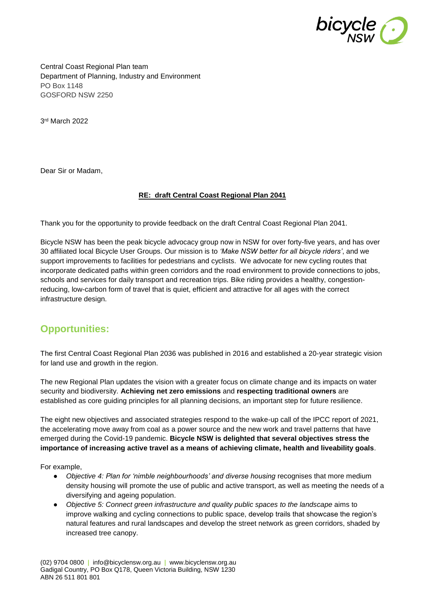

Central Coast Regional Plan team Department of Planning, Industry and Environment PO Box 1148 GOSFORD NSW 2250

3 rd March 2022

Dear Sir or Madam,

### **RE: draft Central Coast Regional Plan 2041**

Thank you for the opportunity to provide feedback on the draft Central Coast Regional Plan 2041.

Bicycle NSW has been the peak bicycle advocacy group now in NSW for over forty-five years, and has over 30 affiliated local Bicycle User Groups. Our mission is to *'Make NSW better for all bicycle riders'*, and we support improvements to facilities for pedestrians and cyclists. We advocate for new cycling routes that incorporate dedicated paths within green corridors and the road environment to provide connections to jobs, schools and services for daily transport and recreation trips. Bike riding provides a healthy, congestionreducing, low-carbon form of travel that is quiet, efficient and attractive for all ages with the correct infrastructure design.

# **Opportunities:**

The first Central Coast Regional Plan 2036 was published in 2016 and established a 20-year strategic vision for land use and growth in the region.

The new Regional Plan updates the vision with a greater focus on climate change and its impacts on water security and biodiversity. **Achieving net zero emissions** and **respecting traditional owners** are established as core guiding principles for all planning decisions, an important step for future resilience.

The eight new objectives and associated strategies respond to the wake-up call of the IPCC report of 2021, the accelerating move away from coal as a power source and the new work and travel patterns that have emerged during the Covid-19 pandemic. **Bicycle NSW is delighted that several objectives stress the importance of increasing active travel as a means of achieving climate, health and liveability goals**.

For example,

- *Objective 4: Plan for 'nimble neighbourhoods' and diverse housing* recognises that more medium density housing will promote the use of public and active transport, as well as meeting the needs of a diversifying and ageing population.
- *Objective 5: Connect green infrastructure and quality public spaces to the landscape* aims to improve walking and cycling connections to public space, develop trails that showcase the region's natural features and rural landscapes and develop the street network as green corridors, shaded by increased tree canopy.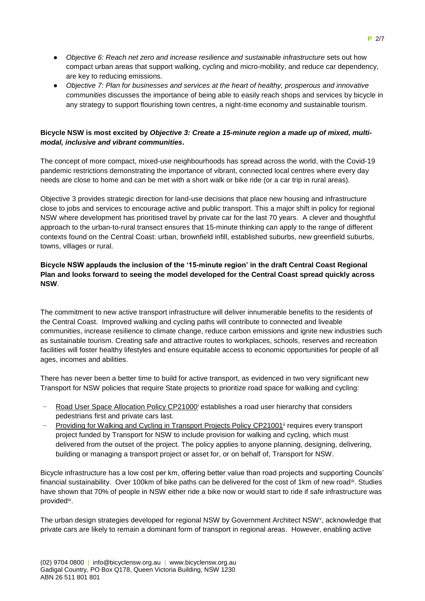- Objective 6: Reach net zero and increase resilience and sustainable infrastructure sets out how compact urban areas that support walking, cycling and micro-mobility, and reduce car dependency, are key to reducing emissions.
- *Objective 7: Plan for businesses and services at the heart of healthy, prosperous and innovative communities* discusses the importance of being able to easily reach shops and services by bicycle in any strategy to support flourishing town centres, a night-time economy and sustainable tourism.

# **Bicycle NSW is most excited by** *Objective 3: Create a 15-minute region a made up of mixed, multimodal, inclusive and vibrant communities***.**

The concept of more compact, mixed-use neighbourhoods has spread across the world, with the Covid-19 pandemic restrictions demonstrating the importance of vibrant, connected local centres where every day needs are close to home and can be met with a short walk or bike ride (or a car trip in rural areas).

Objective 3 provides strategic direction for land-use decisions that place new housing and infrastructure close to jobs and services to encourage active and public transport. This a major shift in policy for regional NSW where development has prioritised travel by private car for the last 70 years. A clever and thoughtful approach to the urban-to-rural transect ensures that 15-minute thinking can apply to the range of different contexts found on the Central Coast: urban, brownfield infill, established suburbs, new greenfield suburbs, towns, villages or rural.

# **Bicycle NSW applauds the inclusion of the '15-minute region' in the draft Central Coast Regional Plan and looks forward to seeing the model developed for the Central Coast spread quickly across NSW**.

The commitment to new active transport infrastructure will deliver innumerable benefits to the residents of the Central Coast. Improved walking and cycling paths will contribute to connected and liveable communities, increase resilience to climate change, reduce carbon emissions and ignite new industries such as sustainable tourism. Creating safe and attractive routes to workplaces, schools, reserves and recreation facilities will foster healthy lifestyles and ensure equitable access to economic opportunities for people of all ages, incomes and abilities.

There has never been a better time to build for active transport, as evidenced in two very significant new Transport for NSW policies that require State projects to prioritize road space for walking and cycling:

- Road User Space Allocation Policy CP21000<sup>i</sup> establishes a road user hierarchy that considers pedestrians first and private cars last.
- Providing for Walking and Cycling in Transport Projects Policy CP21001<sup>ii</sup> requires every transport project funded by Transport for NSW to include provision for walking and cycling, which must delivered from the outset of the project. The policy applies to anyone planning, designing, delivering, building or managing a transport project or asset for, or on behalf of, Transport for NSW.

Bicycle infrastructure has a low cost per km, offering better value than road projects and supporting Councils' financial sustainability. Over 100km of bike paths can be delivered for the cost of 1km of new roadiil. Studies have shown that 70% of people in NSW either ride a bike now or would start to ride if safe infrastructure was provided<sup>iv</sup>.

The urban design strategies developed for regional NSW by Government Architect NSW<sup>v</sup>, acknowledge that private cars are likely to remain a dominant form of transport in regional areas. However, enabling active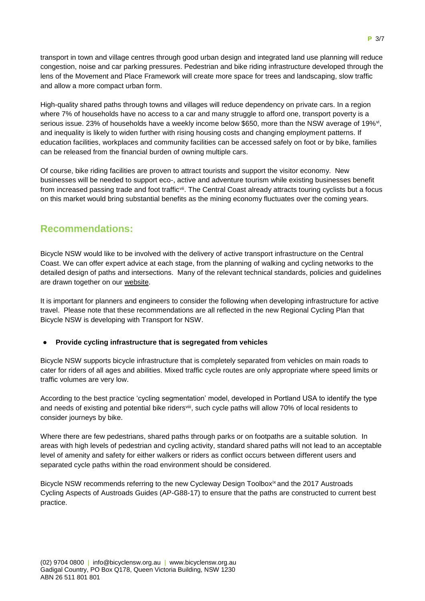transport in town and village centres through good urban design and integrated land use planning will reduce congestion, noise and car parking pressures. Pedestrian and bike riding infrastructure developed through the lens of the Movement and Place Framework will create more space for trees and landscaping, slow traffic and allow a more compact urban form.

High-quality shared paths through towns and villages will reduce dependency on private cars. In a region where 7% of households have no access to a car and many struggle to afford one, transport poverty is a serious issue. 23% of households have a weekly income below \$650, more than the NSW average of 19%<sup>vi</sup>, and inequality is likely to widen further with rising housing costs and changing employment patterns. If education facilities, workplaces and community facilities can be accessed safely on foot or by bike, families can be released from the financial burden of owning multiple cars.

Of course, bike riding facilities are proven to attract tourists and support the visitor economy. New businesses will be needed to support eco-, active and adventure tourism while existing businesses benefit from increased passing trade and foot traffic<sup>vii</sup>. The Central Coast already attracts touring cyclists but a focus on this market would bring substantial benefits as the mining economy fluctuates over the coming years.

# **Recommendations:**

Bicycle NSW would like to be involved with the delivery of active transport infrastructure on the Central Coast. We can offer expert advice at each stage, from the planning of walking and cycling networks to the detailed design of paths and intersections. Many of the relevant technical standards, policies and guidelines are drawn together on our [website.](https://bicyclensw.org.au/rays-corner/)

It is important for planners and engineers to consider the following when developing infrastructure for active travel. Please note that these recommendations are all reflected in the new Regional Cycling Plan that Bicycle NSW is developing with Transport for NSW.

# **Provide cycling infrastructure that is segregated from vehicles**

Bicycle NSW supports bicycle infrastructure that is completely separated from vehicles on main roads to cater for riders of all ages and abilities. Mixed traffic cycle routes are only appropriate where speed limits or traffic volumes are very low.

According to the best practice 'cycling segmentation' model, developed in Portland USA to identify the type and needs of existing and potential bike riders<sup>viii</sup>, such cycle paths will allow 70% of local residents to consider journeys by bike.

Where there are few pedestrians, shared paths through parks or on footpaths are a suitable solution. In areas with high levels of pedestrian and cycling activity, standard shared paths will not lead to an acceptable level of amenity and safety for either walkers or riders as conflict occurs between different users and separated cycle paths within the road environment should be considered.

Bicycle NSW recommends referring to the new Cycleway Design Toolboxix and the 2017 Austroads Cycling Aspects of Austroads Guides (AP-G88-17) to ensure that the paths are constructed to current best practice.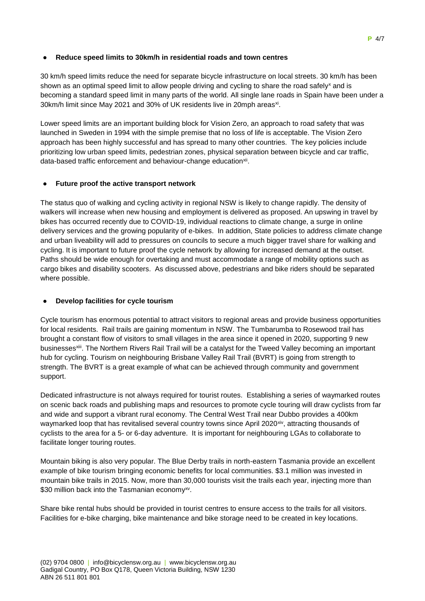### ● **Reduce speed limits to 30km/h in residential roads and town centres**

30 km/h speed limits reduce the need for separate bicycle infrastructure on local streets. 30 km/h has been shown as an optimal speed limit to allow people driving and cycling to share the road safely<sup>x</sup> and is becoming a standard speed limit in many parts of the world. All single lane roads in Spain have been under a 30km/h limit since May 2021 and 30% of UK residents live in 20mph areas<sup>xi</sup>.

Lower speed limits are an important building block for Vision Zero, an approach to road safety that was launched in Sweden in 1994 with the simple premise that no loss of life is acceptable. The Vision Zero approach has been highly successful and has spread to many other countries. The key policies include prioritizing low urban speed limits, pedestrian zones, physical separation between bicycle and car traffic, data-based traffic enforcement and behaviour-change education<sup>xii</sup>.

### **Future proof the active transport network**

The status quo of walking and cycling activity in regional NSW is likely to change rapidly. The density of walkers will increase when new housing and employment is delivered as proposed. An upswing in travel by bikes has occurred recently due to COVID-19, individual reactions to climate change, a surge in online delivery services and the growing popularity of e-bikes. In addition, State policies to address climate change and urban liveability will add to pressures on councils to secure a much bigger travel share for walking and cycling. It is important to future proof the cycle network by allowing for increased demand at the outset. Paths should be wide enough for overtaking and must accommodate a range of mobility options such as cargo bikes and disability scooters. As discussed above, pedestrians and bike riders should be separated where possible.

# **Develop facilities for cycle tourism**

Cycle tourism has enormous potential to attract visitors to regional areas and provide business opportunities for local residents. Rail trails are gaining momentum in NSW. The Tumbarumba to Rosewood trail has brought a constant flow of visitors to small villages in the area since it opened in 2020, supporting 9 new businesses<sup>xii</sup>. The Northern Rivers Rail Trail will be a catalyst for the Tweed Valley becoming an important hub for cycling. Tourism on neighbouring [Brisbane Valley Rail Trail](https://www.tmr.qld.gov.au/bvrt) (BVRT) is going from strength to strength. The BVRT is a great example of what can be achieved through community and government support.

Dedicated infrastructure is not always required for tourist routes. Establishing a series of waymarked routes on scenic back roads and publishing maps and resources to promote cycle touring will draw cyclists from far and wide and support a vibrant rural economy. The Central West Trail near Dubbo provides a 400km waymarked loop that has revitalised several country towns since April 2020<sup>xiv</sup>, attracting thousands of cyclists to the area for a 5- or 6-day adventure. It is important for neighbouring LGAs to collaborate to facilitate longer touring routes.

Mountain biking is also very popular. The Blue Derby trails in north-eastern Tasmania provide an excellent example of bike tourism bringing economic benefits for local communities. \$3.1 million was invested in mountain bike trails in 2015. Now, more than 30,000 tourists visit the trails each year, injecting more than \$30 million back into the Tasmanian economy<sup>xv</sup>.

Share bike rental hubs should be provided in tourist centres to ensure access to the trails for all visitors. Facilities for e-bike charging, bike maintenance and bike storage need to be created in key locations.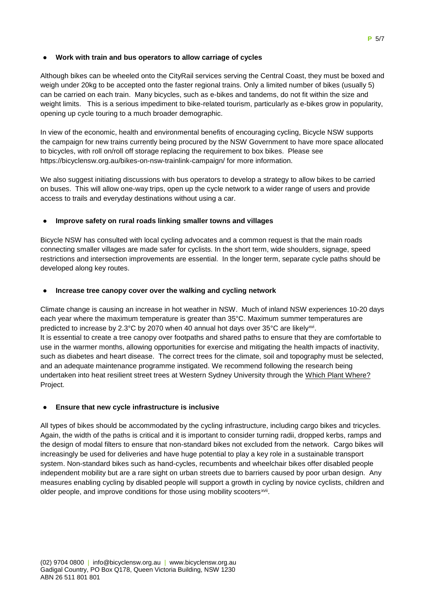# **Work with train and bus operators to allow carriage of cycles**

Although bikes can be wheeled onto the CityRail services serving the Central Coast, they must be boxed and weigh under 20kg to be accepted onto the faster regional trains. Only a limited number of bikes (usually 5) can be carried on each train. Many bicycles, such as e-bikes and tandems, do not fit within the size and weight limits. This is a serious impediment to bike-related tourism, particularly as e-bikes grow in popularity, opening up cycle touring to a much broader demographic.

In view of the economic, health and environmental benefits of encouraging cycling, Bicycle NSW supports the campaign for new trains currently being procured by the NSW Government to have more space allocated to bicycles, with roll on/roll off storage replacing the requirement to box bikes. Please see <https://bicyclensw.org.au/bikes-on-nsw-trainlink-campaign/> for more information.

We also suggest initiating discussions with bus operators to develop a strategy to allow bikes to be carried on buses. This will allow one-way trips, open up the cycle network to a wider range of users and provide access to trails and everyday destinations without using a car.

### ● **Improve safety on rural roads linking smaller towns and villages**

Bicycle NSW has consulted with local cycling advocates and a common request is that the main roads connecting smaller villages are made safer for cyclists. In the short term, wide shoulders, signage, speed restrictions and intersection improvements are essential. In the longer term, separate cycle paths should be developed along key routes.

### ● **Increase tree canopy cover over the walking and cycling network**

Climate change is causing an increase in hot weather in NSW. Much of inland NSW experiences 10-20 days each year where the maximum temperature is greater than 35°C. Maximum summer temperatures are predicted to increase by 2.3°C by 2070 when 40 annual hot days over 35°C are likely<sup>xvi</sup>. It is essential to create a tree canopy over footpaths and shared paths to ensure that they are comfortable to use in the warmer months, allowing opportunities for exercise and mitigating the health impacts of inactivity, such as diabetes and heart disease. The correct trees for the climate, soil and topography must be selected, and an adequate maintenance programme instigated. We recommend following the research being undertaken into heat resilient street trees at Western Sydney University through the [Which Plant Where?](https://www.westernsydney.edu.au/environmental_sustainability/home/living_labs/which_plant_where) Project.

#### **Ensure that new cycle infrastructure is inclusive**

All types of bikes should be accommodated by the cycling infrastructure, including cargo bikes and tricycles. Again, the width of the paths is critical and it is important to consider turning radii, dropped kerbs, ramps and the design of modal filters to ensure that non-standard bikes not excluded from the network. Cargo bikes will increasingly be used for deliveries and have huge potential to play a key role in a sustainable transport system. Non-standard bikes such as hand-cycles, recumbents and wheelchair bikes offer disabled people independent mobility but are a rare sight on urban streets due to barriers caused by poor urban design. Any measures enabling cycling by disabled people will support a growth in cycling by novice cyclists, children and older people, and improve conditions for those using mobility scooters<sup>xvii</sup>.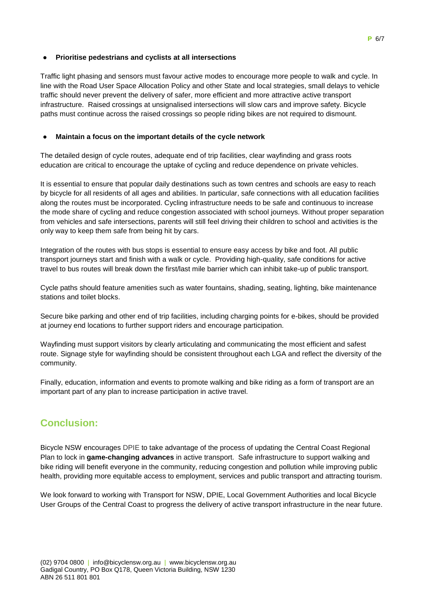### ● **Prioritise pedestrians and cyclists at all intersections**

Traffic light phasing and sensors must favour active modes to encourage more people to walk and cycle. In line with the Road User Space Allocation Policy and other State and local strategies, small delays to vehicle traffic should never prevent the delivery of safer, more efficient and more attractive active transport infrastructure. Raised crossings at unsignalised intersections will slow cars and improve safety. Bicycle paths must continue across the raised crossings so people riding bikes are not required to dismount.

# ● **Maintain a focus on the important details of the cycle network**

The detailed design of cycle routes, adequate end of trip facilities, clear wayfinding and grass roots education are critical to encourage the uptake of cycling and reduce dependence on private vehicles.

It is essential to ensure that popular daily destinations such as town centres and schools are easy to reach by bicycle for all residents of all ages and abilities. In particular, safe connections with all education facilities along the routes must be incorporated. Cycling infrastructure needs to be safe and continuous to increase the mode share of cycling and reduce congestion associated with school journeys. Without proper separation from vehicles and safe intersections, parents will still feel driving their children to school and activities is the only way to keep them safe from being hit by cars.

Integration of the routes with bus stops is essential to ensure easy access by bike and foot. All public transport journeys start and finish with a walk or cycle. Providing high-quality, safe conditions for active travel to bus routes will break down the first/last mile barrier which can inhibit take-up of public transport.

Cycle paths should feature amenities such as water fountains, shading, seating, lighting, bike maintenance stations and toilet blocks.

Secure bike parking and other end of trip facilities, including charging points for e-bikes, should be provided at journey end locations to further support riders and encourage participation.

Wayfinding must support visitors by clearly articulating and communicating the most efficient and safest route. Signage style for wayfinding should be consistent throughout each LGA and reflect the diversity of the community.

Finally, education, information and events to promote walking and bike riding as a form of transport are an important part of any plan to increase participation in active travel.

# **Conclusion:**

Bicycle NSW encourages DPIE to take advantage of the process of updating the Central Coast Regional Plan to lock in **game-changing advances** in active transport. Safe infrastructure to support walking and bike riding will benefit everyone in the community, reducing congestion and pollution while improving public health, providing more equitable access to employment, services and public transport and attracting tourism.

We look forward to working with Transport for NSW, DPIE, Local Government Authorities and local Bicycle User Groups of the Central Coast to progress the delivery of active transport infrastructure in the near future.